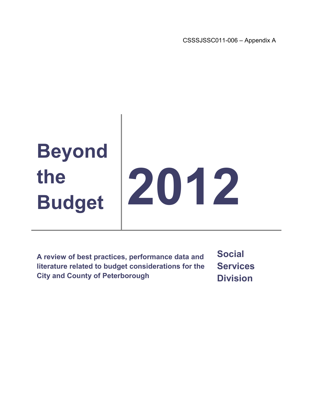CSSSJSSC011-006 – Appendix A

# **Beyond the Budget 2012**

**A review of best practices, performance data and literature related to budget considerations for the City and County of Peterborough** 

**Social Services Division**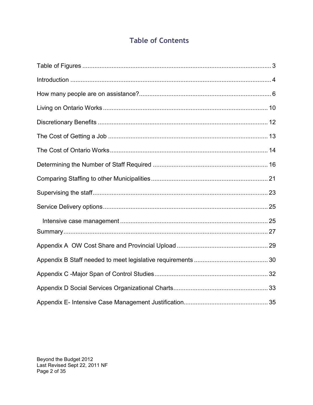# **Table of Contents**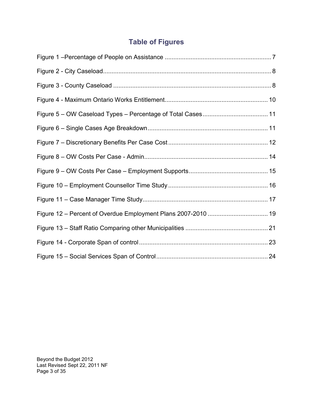# **Table of Figures**

<span id="page-2-0"></span>

| Figure 12 - Percent of Overdue Employment Plans 2007-2010  19 |  |
|---------------------------------------------------------------|--|
|                                                               |  |
|                                                               |  |
|                                                               |  |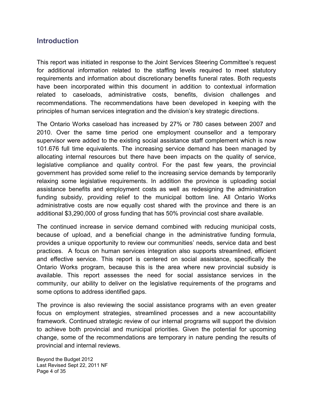#### <span id="page-3-0"></span>**Introduction**

This report was initiated in response to the Joint Services Steering Committee's request for additional information related to the staffing levels required to meet statutory requirements and information about discretionary benefits funeral rates. Both requests have been incorporated within this document in addition to contextual information related to caseloads, administrative costs, benefits, division challenges and recommendations. The recommendations have been developed in keeping with the principles of human services integration and the division's key strategic directions.

The Ontario Works caseload has increased by 27% or 780 cases between 2007 and 2010. Over the same time period one employment counsellor and a temporary supervisor were added to the existing social assistance staff complement which is now 101.676 full time equivalents. The increasing service demand has been managed by allocating internal resources but there have been impacts on the quality of service, legislative compliance and quality control. For the past few years, the provincial government has provided some relief to the increasing service demands by temporarily relaxing some legislative requirements. In addition the province is uploading social assistance benefits and employment costs as well as redesigning the administration funding subsidy, providing relief to the municipal bottom line. All Ontario Works administrative costs are now equally cost shared with the province and there is an additional \$3,290,000 of gross funding that has 50% provincial cost share available.

The continued increase in service demand combined with reducing municipal costs, because of upload, and a beneficial change in the administrative funding formula, provides a unique opportunity to review our communities' needs, service data and best practices. A focus on human services integration also supports streamlined, efficient and effective service. This report is centered on social assistance, specifically the Ontario Works program, because this is the area where new provincial subsidy is available. This report assesses the need for social assistance services in the community, our ability to deliver on the legislative requirements of the programs and some options to address identified gaps.

The province is also reviewing the social assistance programs with an even greater focus on employment strategies, streamlined processes and a new accountability framework. Continued strategic review of our internal programs will support the division to achieve both provincial and municipal priorities. Given the potential for upcoming change, some of the recommendations are temporary in nature pending the results of provincial and internal reviews.

Beyond the Budget 2012 Last Revised Sept 22, 2011 NF Page 4 of 35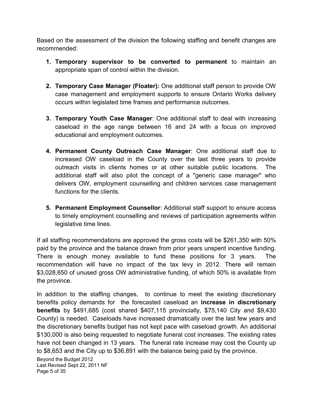Based on the assessment of the division the following staffing and benefit changes are recommended:

- **1. Temporary supervisor to be converted to permanent** to maintain an appropriate span of control within the division.
- **2. Temporary Case Manager (Floater):** One additional staff person to provide OW case management and employment supports to ensure Ontario Works delivery occurs within legislated time frames and performance outcomes.
- **3. Temporary Youth Case Manager**: One additional staff to deal with increasing caseload in the age range between 16 and 24 with a focus on improved educational and employment outcomes.
- **4. Permanent County Outreach Case Manager**: One additional staff due to increased OW caseload in the County over the last three years to provide outreach visits in clients homes or at other suitable public locations. The additional staff will also pilot the concept of a "generic case manager" who delivers OW, employment counselling and children services case management functions for the clients.
- **5. Permanent Employment Counsellor**: Additional staff support to ensure access to timely employment counselling and reviews of participation agreements within legislative time lines.

If all staffing recommendations are approved the gross costs will be \$261,350 with 50% paid by the province and the balance drawn from prior years unspent incentive funding. There is enough money available to fund these positions for 3 years. The recommendation will have no impact of the tax levy in 2012. There will remain \$3,028,650 of unused gross OW administrative funding, of which 50% is available from the province.

In addition to the staffing changes, to continue to meet the existing discretionary benefits policy demands for the forecasted caseload an **increase in discretionary benefits** by \$491,685 (cost shared \$407,115 provincially, \$75,140 City and \$9,430 County) is needed. Caseloads have increased dramatically over the last few years and the discretionary benefits budget has not kept pace with caseload growth. An additional \$130,000 is also being requested to negotiate funeral cost increases. The existing rates have not been changed in 13 years. The funeral rate increase may cost the County up to \$8,653 and the City up to \$36,891 with the balance being paid by the province.

Beyond the Budget 2012 Last Revised Sept 22, 2011 NF Page 5 of 35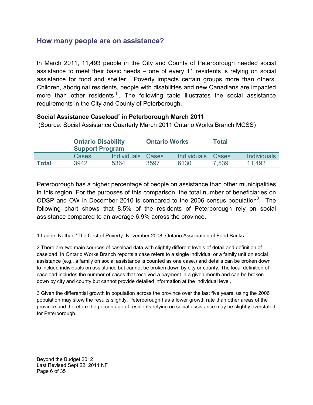#### <span id="page-5-0"></span>**How many people are on assistance?**

In March 2011, 11,493 people in the City and County of Peterborough needed social assistance to meet their basic needs – one of every 11 residents is relying on social assistance for food and shelter. Poverty impacts certain groups more than others. Children, aboriginal residents, people with disabilities and new Canadians are impacted more than other residents  $1$ . The following table illustrates the social assistance requirements in the City and County of Peterborough.

#### **Social Assistance Caseload**<sup>2</sup>  **in Peterborough March 2011**

(Source: Social Assistance Quarterly March 2011 Ontario Works Branch MCSS)

|              | <b>Ontario Disability</b><br><b>Support Program</b> |                    | <b>Ontario Works</b> |             | <b>Total</b> |                    |
|--------------|-----------------------------------------------------|--------------------|----------------------|-------------|--------------|--------------------|
|              | Cases                                               | <b>Individuals</b> | Cases                | Individuals | Cases        | <b>Individuals</b> |
| <b>Total</b> | 3942                                                | 5364               | 3597                 | 6130        | 7.539        | 11,493             |

Peterborough has a higher percentage of people on assistance than other municipalities in this region. For the purposes of this comparison, the total number of beneficiaries on ODSP and OW in December 2010 is compared to the 2006 census population<sup>3</sup>. The following chart shows that 8.5% of the residents of Peterborough rely on social assistance compared to an average 6.9% across the province.

3 Given the differential growth in population across the province over the last five years, using the 2006 population may skew the results slightly. Peterborough has a lower growth rate than other areas of the province and therefore the percentage of residents relying on social assistance may be slightly overstated for Peterborough.

Beyond the Budget 2012 Last Revised Sept 22, 2011 NF Page 6 of 35

<sup>1</sup> 1 Laurie, Nathan "The Cost of Poverty" November 2008. Ontario Association of Food Banks

<sup>2</sup> There are two main sources of caseload data with slightly different levels of detail and definition of caseload. In Ontario Works Branch reports a case refers to a single individual or a family unit on social assistance (e.g., a family on social assistance is counted as one case.) and details can be broken down to include individuals on assistance but cannot be broken down by city or county. The local definition of caseload includes the number of cases that received a payment in a given month and can be broken down by city and county but cannot provide detailed information at the individual level,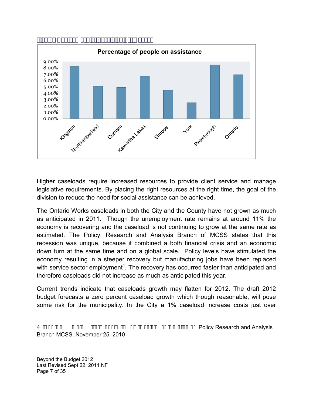<span id="page-6-0"></span>

Higher caseloads require increased resources to provide client service and manage legislative requirements. By placing the right resources at the right time, the goal of the division to reduce the need for social assistance can be achieved.

The Ontario Works caseloads in both the City and the County have not grown as much as anticipated in 2011. Though the unemployment rate remains at around 11% the economy is recovering and the caseload is not continuing to grow at the same rate as estimated. The Policy, Research and Analysis Branch of MCSS states that this recession was unique, because it combined a both financial crisis and an economic down turn at the same time and on a global scale. Policy levels have stimulated the economy resulting in a steeper recovery but manufacturing jobs have been replaced with service sector employment<sup>4</sup>. The recovery has occurred faster than anticipated and therefore caseloads did not increase as much as anticipated this year.

Current trends indicate that caseloads growth may flatten for 2012. The draft 2012 budget forecasts a zero percent caseload growth which though reasonable, will pose some risk for the municipality. In the City a 1% caseload increase costs just over

Policy Research and Analysis

Branch MCSS, November 25, 2010

Beyond the Budget 2012 Last Revised Sept 22, 2011 NF Page 7 of 35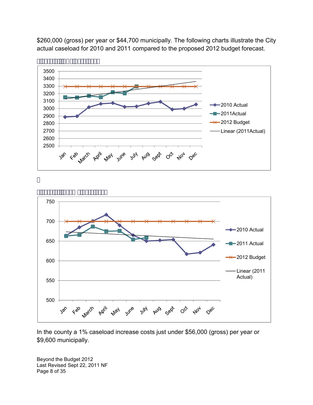

<span id="page-7-0"></span>\$260,000 (gross) per year or \$44,700 municipally. The following charts illustrate the City actual caseload for 2010 and 2011 compared to the proposed 2012 budget forecast.



In the county a 1% caseload increase costs just under \$56,000 (gross) per year or \$9,600 municipally.

Beyond the Budget 2012 Last Revised Sept 22, 2011 NF Page 8 of 35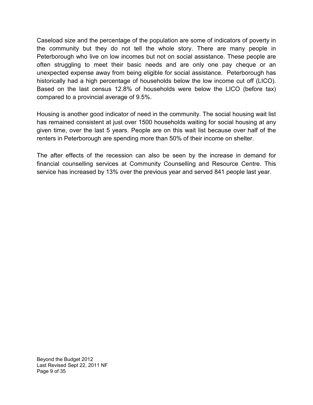Caseload size and the percentage of the population are some of indicators of poverty in the community but they do not tell the whole story. There are many people in Peterborough who live on low incomes but not on social assistance. These people are often struggling to meet their basic needs and are only one pay cheque or an unexpected expense away from being eligible for social assistance. Peterborough has historically had a high percentage of households below the low income cut off (LICO). Based on the last census 12.8% of households were below the LICO (before tax) compared to a provincial average of 9.5%.

Housing is another good indicator of need in the community. The social housing wait list has remained consistent at just over 1500 households waiting for social housing at any given time, over the last 5 years. People are on this wait list because over half of the renters in Peterborough are spending more than 50% of their income on shelter.

The after effects of the recession can also be seen by the increase in demand for financial counselling services at Community Counselling and Resource Centre. This service has increased by 13% over the previous year and served 841 people last year.

Beyond the Budget 2012 Last Revised Sept 22, 2011 NF Page 9 of 35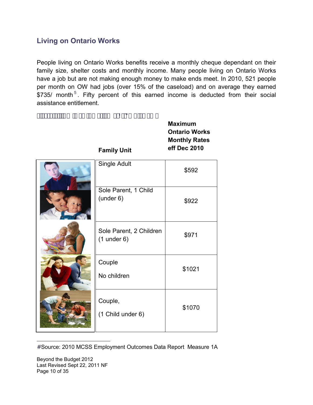# <span id="page-9-0"></span>**Living on Ontario Works**

People living on Ontario Works benefits receive a monthly cheque dependant on their family size, shelter costs and monthly income. Many people living on Ontario Works have a job but are not making enough money to make ends meet. In 2010, 521 people per month on OW had jobs (over 15% of the caseload) and on average they earned \$735/ month<sup>5</sup>. Fifty percent of this earned income is deducted from their social assistance entitlement.

| <b>Family Unit</b>                         | <b>Maximum</b><br><b>Ontario Works</b><br><b>Monthly Rates</b><br>eff Dec 2010 |
|--------------------------------------------|--------------------------------------------------------------------------------|
| Single Adult                               | \$592                                                                          |
| Sole Parent, 1 Child<br>(under 6)          | \$922                                                                          |
| Sole Parent, 2 Children<br>$(1$ under $6)$ | \$971                                                                          |
| Couple<br>No children                      | \$1021                                                                         |
| Couple,<br>(1 Child under 6)               | \$1070                                                                         |

 $\mathbf{l}$ <sup> $\mathbf{m}$ </sup>

 $\overline{a}$ # Source: 2010 MCSS Employment Outcomes Data Report Measure 1A

Beyond the Budget 2012 Last Revised Sept 22, 2011 NF Page 10 of 35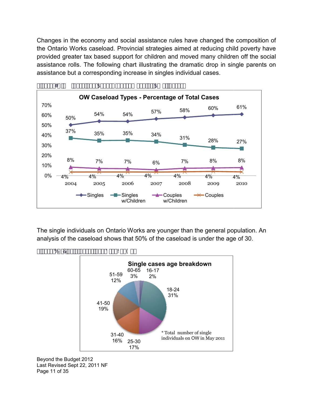Changes in the economy and social assistance rules have changed the composition of the Ontario Works caseload. Provincial strategies aimed at reducing child poverty have provided greater tax based support for children and moved many children off the social assistance rolls. The following chart illustrating the dramatic drop in single parents on assistance but a corresponding increase in singles individual cases. the Ontario Works caseload. Provincial strategies aimed at reducing oprovided greater tax based support for children and moved many chilassistance rolls. The following chart illustrating the dramatic drop in assistance but

<span id="page-10-0"></span>

The single individuals on Ontario Works are younger than the general population. An The single individuals on Ontario Works are younger than the general populatior<br>analysis of the caseload shows that 50% of the caseload is under the age of 30.



Beyond the Budget 2012 Last Revised Sept 22, 2011 NF Page 11 of 35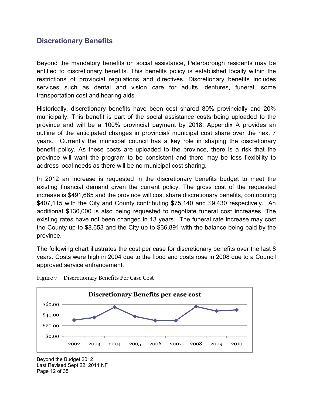## <span id="page-11-0"></span>**Discretionary Benefits**

Beyond the mandatory benefits on social assistance, Peterborough residents may be entitled to discretionary benefits. This benefits policy is established locally within the restrictions of provincial regulations and directives. Discretionary benefits includes services such as dental and vision care for adults, dentures, funeral, some transportation cost and hearing aids.

Historically, discretionary benefits have been cost shared 80% provincially and 20% municipally. This benefit is part of the social assistance costs being uploaded to the province and will be a 100% provincial payment by 2018. Appendix A provides an outline of the anticipated changes in provincial/ municipal cost share over the next 7 years. Currently the municipal council has a key role in shaping the discretionary benefit policy. As these costs are uploaded to the province, there is a risk that the province will want the program to be consistent and there may be less flexibility to address local needs as there will be no municipal cost sharing.

In 2012 an increase is requested in the discretionary benefits budget to meet the existing financial demand given the current policy. The gross cost of the requested increase is \$491,685 and the province will cost share discretionary benefits, contributing \$407,115 with the City and County contributing \$75,140 and \$9,430 respectively. An additional \$130,000 is also being requested to negotiate funeral cost increases. The existing rates have not been changed in 13 years. The funeral rate increase may cost the County up to \$8,653 and the City up to \$36,891 with the balance being paid by the province.

The following chart illustrates the cost per case for discretionary benefits over the last 8 years. Costs were high in 2004 due to the flood and costs rose in 2008 due to a Council approved service enhancement.



Figure 7 – Discretionary Benefits Per Case Cost

Beyond the Budget 2012 Last Revised Sept 22, 2011 NF Page 12 of 35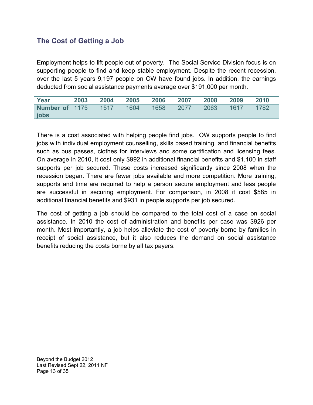# <span id="page-12-0"></span>**The Cost of Getting a Job**

Employment helps to lift people out of poverty. The Social Service Division focus is on supporting people to find and keep stable employment. Despite the recent recession, over the last 5 years 9,197 people on OW have found jobs. In addition, the earnings deducted from social assistance payments average over \$191,000 per month.

| Year                       | 2003 | 2004 | 2005 | 2006 | 2007 | 2008 | 2009 | 2010 |
|----------------------------|------|------|------|------|------|------|------|------|
| <b>Number of 1175 1517</b> |      |      | 1604 | 1658 | 2077 | 2063 | 1617 | 1782 |
| jobs                       |      |      |      |      |      |      |      |      |

There is a cost associated with helping people find jobs. OW supports people to find jobs with individual employment counselling, skills based training, and financial benefits such as bus passes, clothes for interviews and some certification and licensing fees. On average in 2010, it cost only \$992 in additional financial benefits and \$1,100 in staff supports per job secured. These costs increased significantly since 2008 when the recession began. There are fewer jobs available and more competition. More training, supports and time are required to help a person secure employment and less people are successful in securing employment. For comparison, in 2008 it cost \$585 in additional financial benefits and \$931 in people supports per job secured.

The cost of getting a job should be compared to the total cost of a case on social assistance. In 2010 the cost of administration and benefits per case was \$926 per month. Most importantly, a job helps alleviate the cost of poverty borne by families in receipt of social assistance, but it also reduces the demand on social assistance benefits reducing the costs borne by all tax payers.

Beyond the Budget 2012 Last Revised Sept 22, 2011 NF Page 13 of 35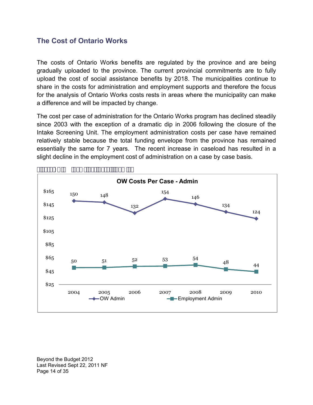### <span id="page-13-0"></span>**The Cost of Ontario Works**

The costs of Ontario Works benefits are regulated by the province and are being gradually uploaded to the province. The current provincial commitments are to fully upload the cost of social assistance benefits by 2018. The municipalities continue to share in the costs for administration and employment supports and therefore the focus for the analysis of Ontario Works costs rests in areas where the municipality can make a difference and will be impacted by change.

The cost per case of administration for the Ontario Works program has declined steadily since 2003 with the exception of a dramatic dip in 2006 following the closure of the Intake Screening Unit. The employment administration costs per case have remained relatively stable because the total funding envelope from the province has remained essentially the same for 7 years. The recent increase in caseload has resulted in a slight decline in the employment cost of administration on a case by case basis.



Beyond the Budget 2012 Last Revised Sept 22, 2011 NF Page 14 of 35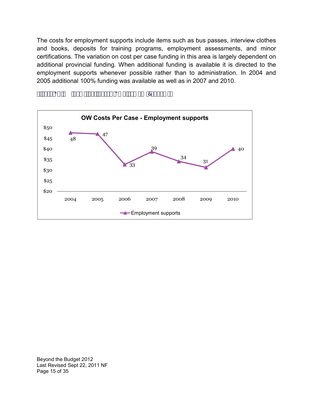<span id="page-14-0"></span>The costs for employment supports include items such as bus passes, interview clothes and books, deposits for training programs, employment assessments, and minor certifications. The variation on cost per case funding in this area is largely dependent on additional provincial funding. When additional funding is available it is directed to the employment supports whenever possible rather than to administration. In 2004 and 2005 additional 100% funding was available as well as in 2007 and 2010.



 "
&

 $\star$ 

Beyond the Budget 2012 Last Revised Sept 22, 2011 NF Page 15 of 35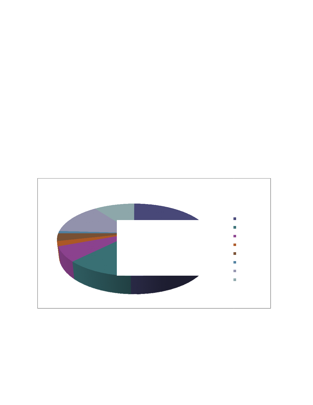$6@$  $>$ 

<span id="page-15-0"></span>># @ "  $\mathbf{H} \, \mathbf{H}$  $\sim 10^{11}$  $"\left( \begin{array}{cc} \end{array}\right)\left( \begin{array}{cc} \end{array}\right)\left( \begin{array}{cc} \end{array}\right) \end{array}$  $+$   $+$  $+$ <sup>'</sup>  $\rightarrow$ 

 $+$   $+$   $+$   $\begin{array}{ccc} & & \mathsf{S} & \mathsf{S} \end{array}$